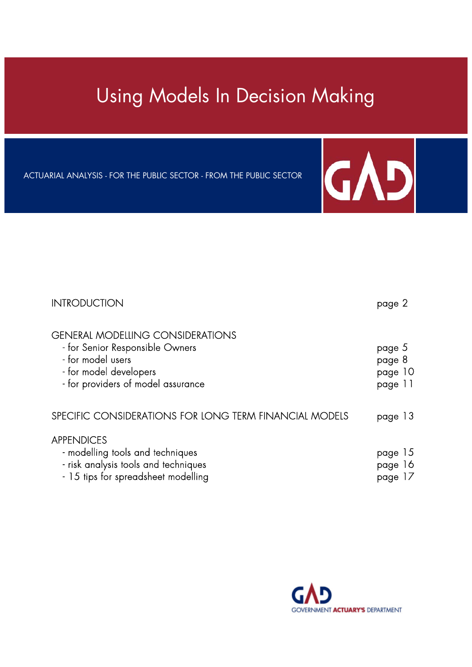# Using Models In Decision Making

ACTUARIAL ANALYSIS - FOR THE PUBLIC SECTOR - FROM THE PUBLIC SECTOR



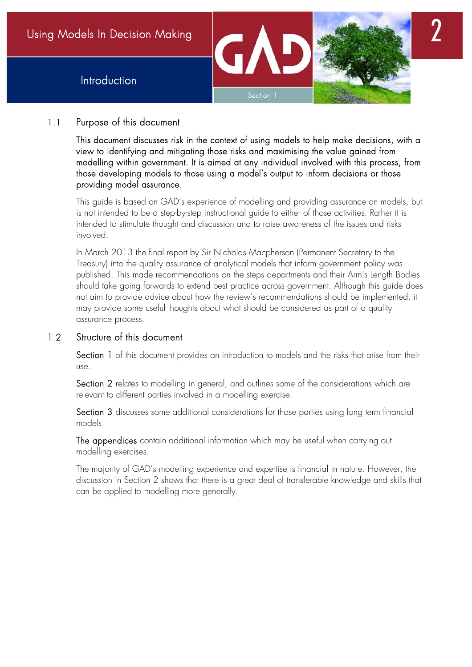



## 1.1 Purpose of this document

 This document discusses risk in the context of using models to help make decisions, with a view to identifying and mitigating those risks and maximising the value gained from modelling within government. It is aimed at any individual involved with this process, from those developing models to those using a model's output to inform decisions or those providing model assurance.

 This guide is based on GAD's experience of modelling and providing assurance on models, but is not intended to be a step-by-step instructional guide to either of those activities. Rather it is intended to stimulate thought and discussion and to raise awareness of the issues and risks involved.

 In March 2013 the final report by Sir Nicholas Macpherson (Permanent Secretary to the Treasury) into the quality assurance of analytical models that inform government policy was published. This made recommendations on the steps departments and their Arm's Length Bodies should take going forwards to extend best practice across government. Although this guide does not aim to provide advice about how the review's recommendations should be implemented, it may provide some useful thoughts about what should be considered as part of a quality assurance process.

## 1.2 Structure of this document

Section 1 of this document provides an introduction to models and the risks that arise from their use.

Section 2 relates to modelling in general, and outlines some of the considerations which are relevant to different parties involved in a modelling exercise.

Section 3 discusses some additional considerations for those parties using long term financial models.

The appendices contain additional information which may be useful when carrying out modelling exercises.

 The majority of GAD's modelling experience and expertise is financial in nature. However, the discussion in Section 2 shows that there is a great deal of transferable knowledge and skills that can be applied to modelling more generally.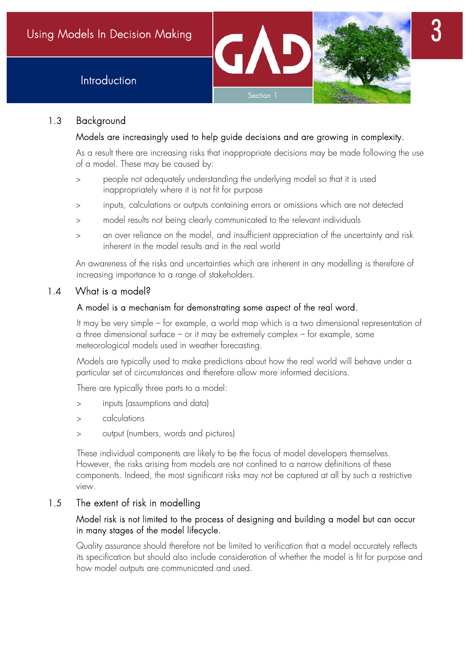



## 1.3 Background

## Models are increasingly used to help guide decisions and are growing in complexity.

As a result there are increasing risks that inappropriate decisions may be made following the use of a model. These may be caused by:

- people not adequately understanding the underlying model so that it is used inappropriately where it is not fit for purpose
- inputs, calculations or outputs containing errors or omissions which are not detected
- model results not being clearly communicated to the relevant individuals
- an over reliance on the model, and insufficient appreciation of the uncertainty and risk inherent in the model results and in the real world

An awareness of the risks and uncertainties which are inherent in any modelling is therefore of increasing importance to a range of stakeholders.

## 1.4 What is a model?

## A model is a mechanism for demonstrating some aspect of the real word.

It may be very simple – for example, a world map which is a two dimensional representation of a three dimensional surface – or it may be extremely complex – for example, some meteorological models used in weather forecasting.

Models are typically used to make predictions about how the real world will behave under a particular set of circumstances and therefore allow more informed decisions.

There are typically three parts to a model:

- inputs (assumptions and data)
- calculations
- output (numbers, words and pictures)

These individual components are likely to be the focus of model developers themselves. However, the risks arising from models are not confined to a narrow definitions of these components. Indeed, the most significant risks may not be captured at all by such a restrictive view.

## 1.5 The extent of risk in modelling

## Model risk is not limited to the process of designing and building a model but can occur in many stages of the model lifecycle.

 Quality assurance should therefore not be limited to verification that a model accurately reflects its specification but should also include consideration of whether the model is fit for purpose and how model outputs are communicated and used.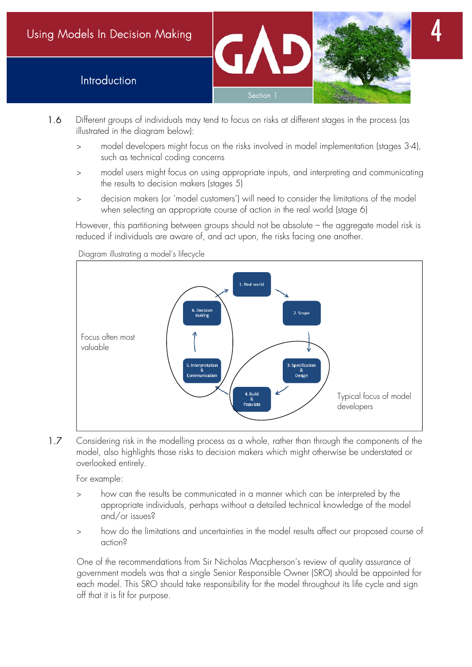Introduction



- 1.6 Different groups of individuals may tend to focus on risks at different stages in the process (as illustrated in the diagram below):
	- model developers might focus on the risks involved in model implementation (stages 3-4), such as technical coding concerns
	- model users might focus on using appropriate inputs, and interpreting and communicating the results to decision makers (stages 5)
	- decision makers (or 'model customers') will need to consider the limitations of the model when selecting an appropriate course of action in the real world (stage 6)

However, this partitioning between groups should not be absolute – the aggregate model risk is reduced if individuals are aware of, and act upon, the risks facing one another.



Diagram illustrating a model's lifecycle

1.7 Considering risk in the modelling process as a whole, rather than through the components of the model, also highlights those risks to decision makers which might otherwise be understated or overlooked entirely.

For example:

- how can the results be communicated in a manner which can be interpreted by the appropriate individuals, perhaps without a detailed technical knowledge of the model and/or issues?
- how do the limitations and uncertainties in the model results affect our proposed course of action?

 One of the recommendations from Sir Nicholas Macpherson's review of quality assurance of government models was that a single Senior Responsible Owner (SRO) should be appointed for each model. This SRO should take responsibility for the model throughout its life cycle and sign off that it is fit for purpose.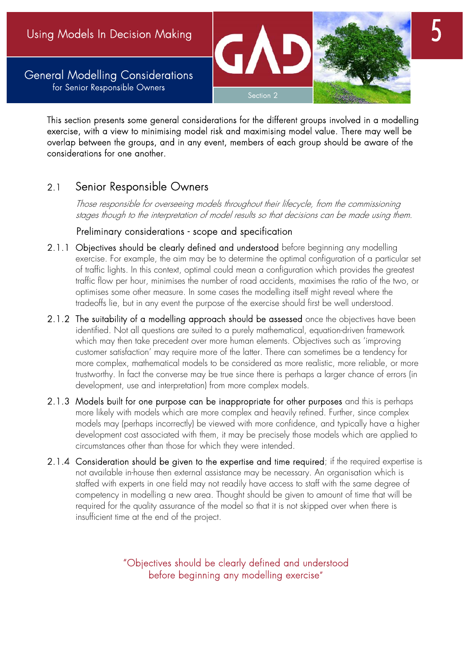General Modelling Considerations for Senior Responsible Owners



This section presents some general considerations for the different groups involved in a modelling exercise, with a view to minimising model risk and maximising model value. There may well be overlap between the groups, and in any event, members of each group should be aware of the considerations for one another.

## 2.1 Senior Responsible Owners

Those responsible for overseeing models throughout their lifecycle, from the commissioning stages though to the interpretation of model results so that decisions can be made using them.

#### Preliminary considerations - scope and specification

- 2.1.1 Objectives should be clearly defined and understood before beginning any modelling exercise. For example, the aim may be to determine the optimal configuration of a particular set of traffic lights. In this context, optimal could mean a configuration which provides the greatest traffic flow per hour, minimises the number of road accidents, maximises the ratio of the two, or optimises some other measure. In some cases the modelling itself might reveal where the tradeoffs lie, but in any event the purpose of the exercise should first be well understood.
- 2.1.2 The suitability of a modelling approach should be assessed once the objectives have been identified. Not all questions are suited to a purely mathematical, equation-driven framework which may then take precedent over more human elements. Objectives such as 'improving customer satisfaction' may require more of the latter. There can sometimes be a tendency for more complex, mathematical models to be considered as more realistic, more reliable, or more trustworthy. In fact the converse may be true since there is perhaps a larger chance of errors (in development, use and interpretation) from more complex models.
- 2.1.3 Models built for one purpose can be inappropriate for other purposes and this is perhaps more likely with models which are more complex and heavily refined. Further, since complex models may (perhaps incorrectly) be viewed with more confidence, and typically have a higher development cost associated with them, it may be precisely those models which are applied to circumstances other than those for which they were intended.
- 2.1.4 Consideration should be given to the expertise and time required; if the required expertise is not available in-house then external assistance may be necessary. An organisation which is staffed with experts in one field may not readily have access to staff with the same degree of competency in modelling a new area. Thought should be given to amount of time that will be required for the quality assurance of the model so that it is not skipped over when there is insufficient time at the end of the project.

"Objectives should be clearly defined and understood before beginning any modelling exercise"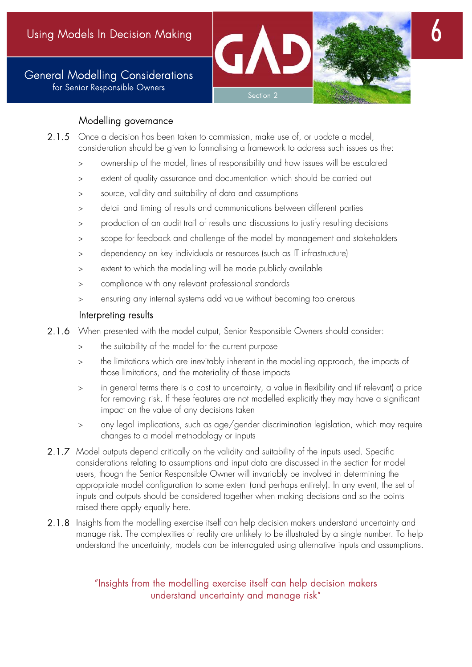General Modelling Considerations for Senior Responsible Owners





## Modelling governance

- 2.1.5 Once a decision has been taken to commission, make use of, or update a model, consideration should be given to formalising a framework to address such issues as the:
	- ownership of the model, lines of responsibility and how issues will be escalated
	- extent of quality assurance and documentation which should be carried out
	- source, validity and suitability of data and assumptions
	- detail and timing of results and communications between different parties
	- production of an audit trail of results and discussions to justify resulting decisions
	- scope for feedback and challenge of the model by management and stakeholders
	- dependency on key individuals or resources (such as IT infrastructure)
	- extent to which the modelling will be made publicly available
	- compliance with any relevant professional standards
	- ensuring any internal systems add value without becoming too onerous

## Interpreting results

- 2.1.6 When presented with the model output, Senior Responsible Owners should consider:
	- the suitability of the model for the current purpose
	- the limitations which are inevitably inherent in the modelling approach, the impacts of those limitations, and the materiality of those impacts
	- in general terms there is a cost to uncertainty, a value in flexibility and (if relevant) a price for removing risk. If these features are not modelled explicitly they may have a significant impact on the value of any decisions taken
	- any legal implications, such as age/gender discrimination legislation, which may require changes to a model methodology or inputs
- 2.1.7 Model outputs depend critically on the validity and suitability of the inputs used. Specific considerations relating to assumptions and input data are discussed in the section for model users, though the Senior Responsible Owner will invariably be involved in determining the appropriate model configuration to some extent (and perhaps entirely). In any event, the set of inputs and outputs should be considered together when making decisions and so the points raised there apply equally here.
- 2.1.8 Insights from the modelling exercise itself can help decision makers understand uncertainty and manage risk. The complexities of reality are unlikely to be illustrated by a single number. To help understand the uncertainty, models can be interrogated using alternative inputs and assumptions.

## "Insights from the modelling exercise itself can help decision makers understand uncertainty and manage risk"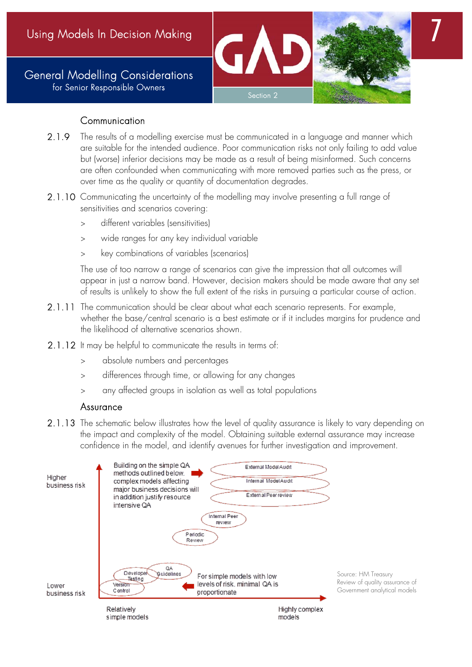General Modelling Considerations for Senior Responsible Owners





7

#### Communication

- 2.1.9 The results of a modelling exercise must be communicated in a language and manner which are suitable for the intended audience. Poor communication risks not only failing to add value but (worse) inferior decisions may be made as a result of being misinformed. Such concerns are often confounded when communicating with more removed parties such as the press, or over time as the quality or quantity of documentation degrades.
- 2.1.10 Communicating the uncertainty of the modelling may involve presenting a full range of sensitivities and scenarios covering:
	- different variables (sensitivities)
	- wide ranges for any key individual variable
	- key combinations of variables (scenarios)

The use of too narrow a range of scenarios can give the impression that all outcomes will appear in just a narrow band. However, decision makers should be made aware that any set of results is unlikely to show the full extent of the risks in pursuing a particular course of action.

- 2.1.11 The communication should be clear about what each scenario represents. For example, whether the base/central scenario is a best estimate or if it includes margins for prudence and the likelihood of alternative scenarios shown.
- 2.1.12 It may be helpful to communicate the results in terms of:
	- absolute numbers and percentages
	- differences through time, or allowing for any changes
	- any affected groups in isolation as well as total populations

#### Assurance

2.1.13 The schematic below illustrates how the level of quality assurance is likely to vary depending on the impact and complexity of the model. Obtaining suitable external assurance may increase confidence in the model, and identify avenues for further investigation and improvement.

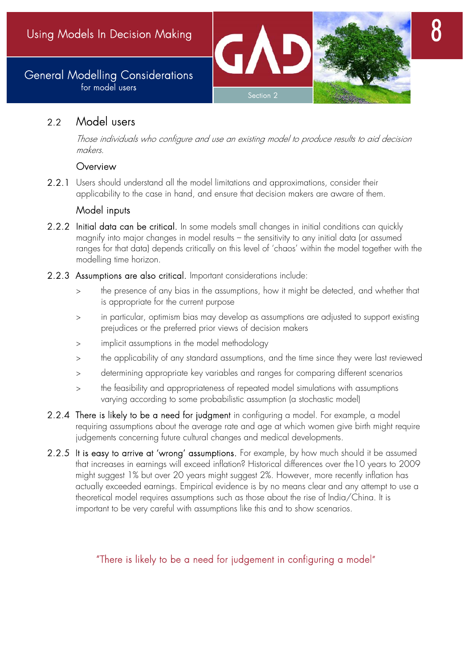## General Modelling Considerations for model users

## 2.2 Model users

 Those individuals who configure and use an existing model to produce results to aid decision makers.

Section 2

#### **Overview**

2.2.1 Users should understand all the model limitations and approximations, consider their applicability to the case in hand, and ensure that decision makers are aware of them.

## Model inputs

- 2.2.2 Initial data can be critical. In some models small changes in initial conditions can quickly magnify into major changes in model results – the sensitivity to any initial data (or assumed ranges for that data) depends critically on this level of 'chaos' within the model together with the modelling time horizon.
- 2.2.3 Assumptions are also critical. Important considerations include:
	- the presence of any bias in the assumptions, how it might be detected, and whether that is appropriate for the current purpose
	- in particular, optimism bias may develop as assumptions are adjusted to support existing prejudices or the preferred prior views of decision makers
	- implicit assumptions in the model methodology
	- the applicability of any standard assumptions, and the time since they were last reviewed
	- determining appropriate key variables and ranges for comparing different scenarios
	- the feasibility and appropriateness of repeated model simulations with assumptions varying according to some probabilistic assumption (a stochastic model)
- 2.2.4 There is likely to be a need for judgment in configuring a model. For example, a model requiring assumptions about the average rate and age at which women give birth might require judgements concerning future cultural changes and medical developments.
- 2.2.5 It is easy to arrive at 'wrong' assumptions. For example, by how much should it be assumed that increases in earnings will exceed inflation? Historical differences over the10 years to 2009 might suggest 1% but over 20 years might suggest 2%. However, more recently inflation has actually exceeded earnings. Empirical evidence is by no means clear and any attempt to use a theoretical model requires assumptions such as those about the rise of India/China. It is important to be very careful with assumptions like this and to show scenarios.

## "There is likely to be a need for judgement in configuring a model"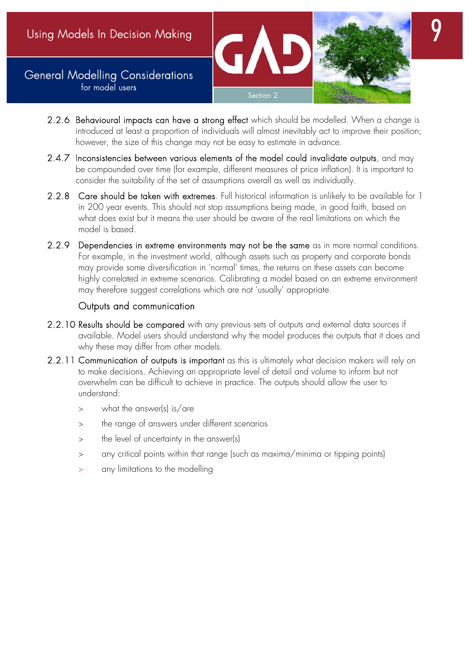## General Modelling Considerations for model users



- 2.2.6 Behavioural impacts can have a strong effect which should be modelled. When a change is introduced at least a proportion of individuals will almost inevitably act to improve their position; however, the size of this change may not be easy to estimate in advance.
- 2.4.7 Inconsistencies between various elements of the model could invalidate outputs, and may be compounded over time (for example, different measures of price inflation). It is important to consider the suitability of the set of assumptions overall as well as individually.
- 2.2.8 Care should be taken with extremes. Full historical information is unlikely to be available for 1 in 200 year events. This should not stop assumptions being made, in good faith, based on what does exist but it means the user should be aware of the real limitations on which the model is based.
- 2.2.9 Dependencies in extreme environments may not be the same as in more normal conditions. For example, in the investment world, although assets such as property and corporate bonds may provide some diversification in 'normal' times, the returns on these assets can become highly correlated in extreme scenarios. Calibrating a model based on an extreme environment may therefore suggest correlations which are not 'usually' appropriate.

## Outputs and communication

- 2.2.10 Results should be compared with any previous sets of outputs and external data sources if available. Model users should understand why the model produces the outputs that it does and why these may differ from other models.
- 2.2.11 Communication of outputs is important as this is ultimately what decision makers will rely on to make decisions. Achieving an appropriate level of detail and volume to inform but not overwhelm can be difficult to achieve in practice. The outputs should allow the user to understand:
	- what the answer(s) is/are
	- the range of answers under different scenarios
	- > the level of uncertainty in the answer(s)
	- any critical points within that range (such as maxima/minima or tipping points)
	- any limitations to the modelling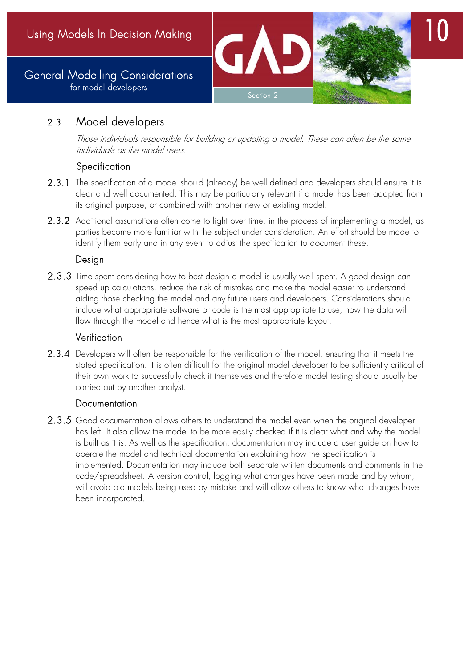

## 2.3 Model developers

 Those individuals responsible for building or updating a model. These can often be the same individuals as the model users.

## **Specification**

- 2.3.1 The specification of a model should (already) be well defined and developers should ensure it is clear and well documented. This may be particularly relevant if a model has been adapted from its original purpose, or combined with another new or existing model.
- 2.3.2 Additional assumptions often come to light over time, in the process of implementing a model, as parties become more familiar with the subject under consideration. An effort should be made to identify them early and in any event to adjust the specification to document these.

## **Desian**

2.3.3 Time spent considering how to best design a model is usually well spent. A good design can speed up calculations, reduce the risk of mistakes and make the model easier to understand aiding those checking the model and any future users and developers. Considerations should include what appropriate software or code is the most appropriate to use, how the data will flow through the model and hence what is the most appropriate layout.

## Verification

2.3.4 Developers will often be responsible for the verification of the model, ensuring that it meets the stated specification. It is often difficult for the original model developer to be sufficiently critical of their own work to successfully check it themselves and therefore model testing should usually be carried out by another analyst.

## **Documentation**

2.3.5 Good documentation allows others to understand the model even when the original developer has left. It also allow the model to be more easily checked if it is clear what and why the model is built as it is. As well as the specification, documentation may include a user guide on how to operate the model and technical documentation explaining how the specification is implemented. Documentation may include both separate written documents and comments in the code/spreadsheet. A version control, logging what changes have been made and by whom, will avoid old models being used by mistake and will allow others to know what changes have been incorporated.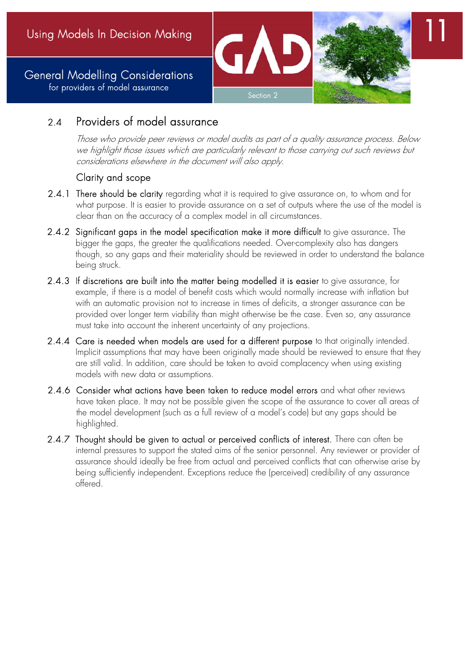General Modelling Considerations for providers of model assurance



11

# 2.4 Providers of model assurance

 Those who provide peer reviews or model audits as part of a quality assurance process. Below we highlight those issues which are particularly relevant to those carrying out such reviews but considerations elsewhere in the document will also apply.

## Clarity and scope

- 2.4.1 There should be clarity regarding what it is required to give assurance on, to whom and for what purpose. It is easier to provide assurance on a set of outputs where the use of the model is clear than on the accuracy of a complex model in all circumstances.
- 2.4.2 Significant gaps in the model specification make it more difficult to give assurance. The bigger the gaps, the greater the qualifications needed. Over-complexity also has dangers though, so any gaps and their materiality should be reviewed in order to understand the balance being struck.
- 2.4.3 If discretions are built into the matter being modelled it is easier to give assurance, for example, if there is a model of benefit costs which would normally increase with inflation but with an automatic provision not to increase in times of deficits, a stronger assurance can be provided over longer term viability than might otherwise be the case. Even so, any assurance must take into account the inherent uncertainty of any projections.
- 2.4.4 Care is needed when models are used for a different purpose to that originally intended. Implicit assumptions that may have been originally made should be reviewed to ensure that they are still valid. In addition, care should be taken to avoid complacency when using existing models with new data or assumptions.
- 2.4.6 Consider what actions have been taken to reduce model errors and what other reviews have taken place. It may not be possible given the scope of the assurance to cover all areas of the model development (such as a full review of a model's code) but any gaps should be highlighted.
- 2.4.7 Thought should be given to actual or perceived conflicts of interest. There can often be internal pressures to support the stated aims of the senior personnel. Any reviewer or provider of assurance should ideally be free from actual and perceived conflicts that can otherwise arise by being sufficiently independent. Exceptions reduce the (perceived) credibility of any assurance offered.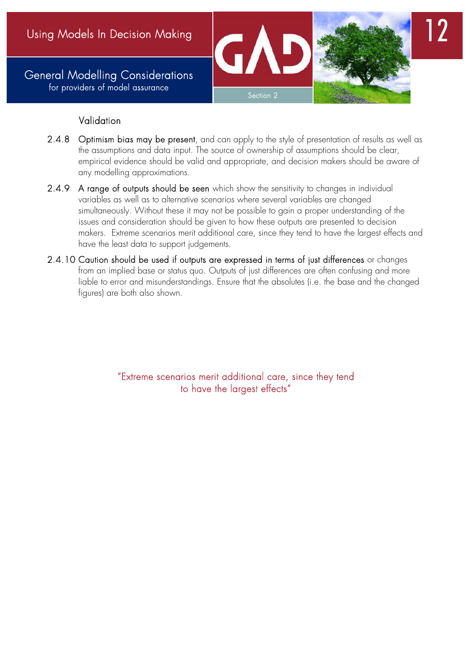General Modelling Considerations for providers of model assurance





## Validation

- 2.4.8 Optimism bias may be present, and can apply to the style of presentation of results as well as the assumptions and data input. The source of ownership of assumptions should be clear, empirical evidence should be valid and appropriate, and decision makers should be aware of any modelling approximations.
- 2.4.9 A range of outputs should be seen which show the sensitivity to changes in individual variables as well as to alternative scenarios where several variables are changed simultaneously. Without these it may not be possible to gain a proper understanding of the issues and consideration should be given to how these outputs are presented to decision makers. Extreme scenarios merit additional care, since they tend to have the largest effects and have the least data to support judgements.
- 2.4.10 Caution should be used if outputs are expressed in terms of just differences or changes from an implied base or status quo. Outputs of just differences are often confusing and more liable to error and misunderstandings. Ensure that the absolutes (i.e. the base and the changed figures) are both also shown.

"Extreme scenarios merit additional care, since they tend to have the largest effects"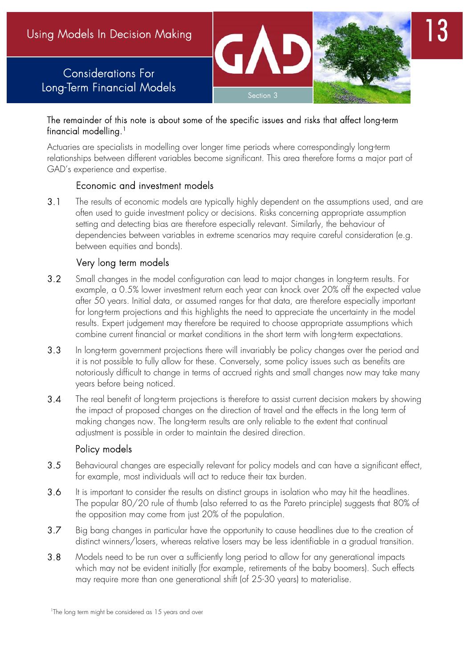# Considerations For Long-Term Financial Models



Section 3

Actuaries are specialists in modelling over longer time periods where correspondingly long-term relationships between different variables become significant. This area therefore forms a major part of GAD's experience and expertise.

#### Economic and investment models

3.1 The results of economic models are typically highly dependent on the assumptions used, and are often used to guide investment policy or decisions. Risks concerning appropriate assumption setting and detecting bias are therefore especially relevant. Similarly, the behaviour of dependencies between variables in extreme scenarios may require careful consideration (e.g. between equities and bonds).

## Very long term models

- 3.2 Small changes in the model configuration can lead to major changes in long-term results. For example, a 0.5% lower investment return each year can knock over 20% off the expected value after 50 years. Initial data, or assumed ranges for that data, are therefore especially important for long-term projections and this highlights the need to appreciate the uncertainty in the model results. Expert judgement may therefore be required to choose appropriate assumptions which combine current financial or market conditions in the short term with long-term expectations.
- 3.3 In long-term government projections there will invariably be policy changes over the period and it is not possible to fully allow for these. Conversely, some policy issues such as benefits are notoriously difficult to change in terms of accrued rights and small changes now may take many years before being noticed.
- 3.4 The real benefit of long-term projections is therefore to assist current decision makers by showing the impact of proposed changes on the direction of travel and the effects in the long term of making changes now. The long-term results are only reliable to the extent that continual adjustment is possible in order to maintain the desired direction.

#### Policy models

- 3.5 Behavioural changes are especially relevant for policy models and can have a significant effect, for example, most individuals will act to reduce their tax burden.
- 3.6 It is important to consider the results on distinct groups in isolation who may hit the headlines. The popular 80/20 rule of thumb (also referred to as the Pareto principle) suggests that 80% of the opposition may come from just 20% of the population.
- 3.7 Big bang changes in particular have the opportunity to cause headlines due to the creation of distinct winners/losers, whereas relative losers may be less identifiable in a gradual transition.
- 3.8 Models need to be run over a sufficiently long period to allow for any generational impacts which may not be evident initially (for example, retirements of the baby boomers). Such effects may require more than one generational shift (of 25-30 years) to materialise.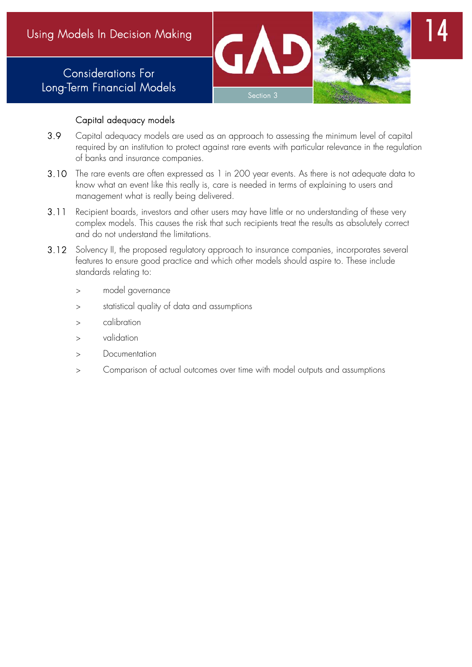# Considerations For Long-Term Financial Models





## Capital adequacy models

- 3.9 Capital adequacy models are used as an approach to assessing the minimum level of capital required by an institution to protect against rare events with particular relevance in the regulation of banks and insurance companies.
- 3.10 The rare events are often expressed as 1 in 200 year events. As there is not adequate data to know what an event like this really is, care is needed in terms of explaining to users and management what is really being delivered.
- 3.11 Recipient boards, investors and other users may have little or no understanding of these very complex models. This causes the risk that such recipients treat the results as absolutely correct and do not understand the limitations.
- 3.12 Solvency II, the proposed regulatory approach to insurance companies, incorporates several features to ensure good practice and which other models should aspire to. These include standards relating to:
	- model governance
	- statistical quality of data and assumptions
	- calibration
	- validation
	- Documentation
	- Comparison of actual outcomes over time with model outputs and assumptions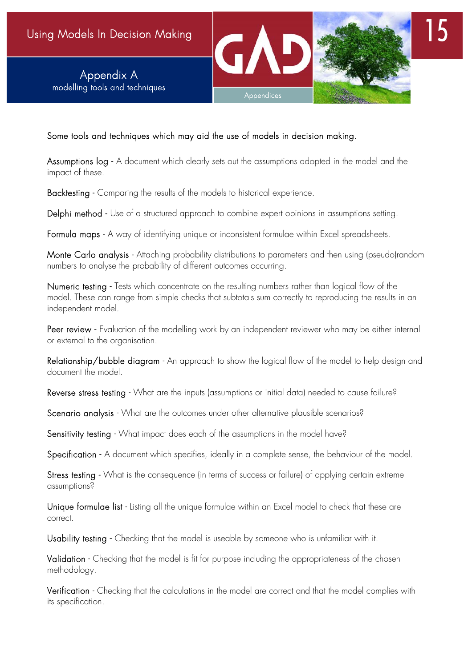Appendix A modelling tools and techniques





Some tools and techniques which may aid the use of models in decision making.

Assumptions  $log - A$  document which clearly sets out the assumptions adopted in the model and the impact of these.

Backtesting - Comparing the results of the models to historical experience.

Delphi method - Use of a structured approach to combine expert opinions in assumptions setting.

Formula maps - A way of identifying unique or inconsistent formulae within Excel spreadsheets.

Monte Carlo analysis - Attaching probability distributions to parameters and then using (pseudo)random numbers to analyse the probability of different outcomes occurring.

Numeric testing - Tests which concentrate on the resulting numbers rather than logical flow of the model. These can range from simple checks that subtotals sum correctly to reproducing the results in an independent model.

Peer review - Evaluation of the modelling work by an independent reviewer who may be either internal or external to the organisation.

Relationship/bubble diagram - An approach to show the logical flow of the model to help design and document the model.

Reverse stress testing - What are the inputs (assumptions or initial data) needed to cause failure?

Scenario analysis - What are the outcomes under other alternative plausible scenarios?

Sensitivity testing - What impact does each of the assumptions in the model have?

Specification - A document which specifies, ideally in a complete sense, the behaviour of the model.

Stress testing - What is the consequence (in terms of success or failure) of applying certain extreme assumptions?

Unique formulae list - Listing all the unique formulae within an Excel model to check that these are correct.

Usability testing - Checking that the model is useable by someone who is unfamiliar with it.

Validation - Checking that the model is fit for purpose including the appropriateness of the chosen methodology.

Verification - Checking that the calculations in the model are correct and that the model complies with its specification.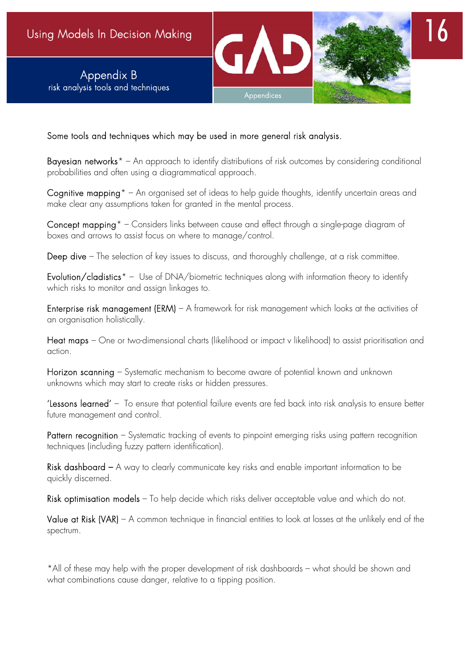

Some tools and techniques which may be used in more general risk analysis.

Bayesian networks<sup>\*</sup> – An approach to identify distributions of risk outcomes by considering conditional probabilities and often using a diagrammatical approach.

Cognitive mapping<sup>\*</sup> – An organised set of ideas to help guide thoughts, identify uncertain areas and make clear any assumptions taken for granted in the mental process.

Concept mapping\* – Considers links between cause and effect through a single-page diagram of boxes and arrows to assist focus on where to manage/control.

Deep dive – The selection of key issues to discuss, and thoroughly challenge, at a risk committee.

Evolution/cladistics<sup>\*</sup> - Use of DNA/biometric techniques along with information theory to identify which risks to monitor and assign linkages to.

Enterprise risk management (ERM) – A framework for risk management which looks at the activities of an organisation holistically.

Heat maps – One or two-dimensional charts (likelihood or impact v likelihood) to assist prioritisation and action.

Horizon scanning – Systematic mechanism to become aware of potential known and unknown unknowns which may start to create risks or hidden pressures.

'Lessons learned' – To ensure that potential failure events are fed back into risk analysis to ensure better future management and control.

Pattern recognition – Systematic tracking of events to pinpoint emerging risks using pattern recognition techniques (including fuzzy pattern identification).

Risk dashboard – A way to clearly communicate key risks and enable important information to be quickly discerned.

Risk optimisation models – To help decide which risks deliver acceptable value and which do not.

Value at Risk (VAR) – A common technique in financial entities to look at losses at the unlikely end of the spectrum.

\*All of these may help with the proper development of risk dashboards – what should be shown and what combinations cause danger, relative to a tipping position.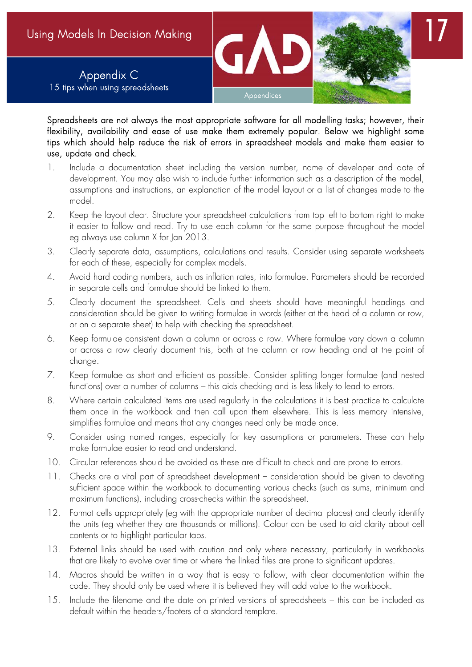

Spreadsheets are not always the most appropriate software for all modelling tasks; however, their flexibility, availability and ease of use make them extremely popular. Below we highlight some tips which should help reduce the risk of errors in spreadsheet models and make them easier to use, update and check.

- 1. Include a documentation sheet including the version number, name of developer and date of development. You may also wish to include further information such as a description of the model, assumptions and instructions, an explanation of the model layout or a list of changes made to the model.
- 2. Keep the layout clear. Structure your spreadsheet calculations from top left to bottom right to make it easier to follow and read. Try to use each column for the same purpose throughout the model eg always use column X for Jan 2013.
- 3. Clearly separate data, assumptions, calculations and results. Consider using separate worksheets for each of these, especially for complex models.
- 4. Avoid hard coding numbers, such as inflation rates, into formulae. Parameters should be recorded in separate cells and formulae should be linked to them.
- 5. Clearly document the spreadsheet. Cells and sheets should have meaningful headings and consideration should be given to writing formulae in words (either at the head of a column or row, or on a separate sheet) to help with checking the spreadsheet.
- 6. Keep formulae consistent down a column or across a row. Where formulae vary down a column or across a row clearly document this, both at the column or row heading and at the point of change.
- 7. Keep formulae as short and efficient as possible. Consider splitting longer formulae (and nested functions) over a number of columns – this aids checking and is less likely to lead to errors.
- 8. Where certain calculated items are used regularly in the calculations it is best practice to calculate them once in the workbook and then call upon them elsewhere. This is less memory intensive, simplifies formulae and means that any changes need only be made once.
- 9. Consider using named ranges, especially for key assumptions or parameters. These can help make formulae easier to read and understand.
- 10. Circular references should be avoided as these are difficult to check and are prone to errors.
- 11. Checks are a vital part of spreadsheet development consideration should be given to devoting sufficient space within the workbook to documenting various checks (such as sums, minimum and maximum functions), including cross-checks within the spreadsheet.
- 12. Format cells appropriately (eg with the appropriate number of decimal places) and clearly identify the units (eg whether they are thousands or millions). Colour can be used to aid clarity about cell contents or to highlight particular tabs.
- 13. External links should be used with caution and only where necessary, particularly in workbooks that are likely to evolve over time or where the linked files are prone to significant updates.
- 14. Macros should be written in a way that is easy to follow, with clear documentation within the code. They should only be used where it is believed they will add value to the workbook.
- 15. Include the filename and the date on printed versions of spreadsheets this can be included as default within the headers/footers of a standard template.